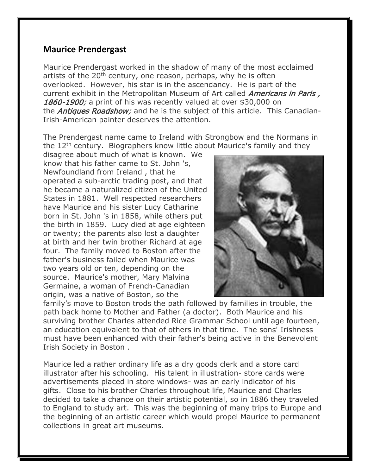## **Maurice Prendergast**

Maurice Prendergast worked in the shadow of many of the most acclaimed artists of the  $20<sup>th</sup>$  century, one reason, perhaps, why he is often overlooked. However, his star is in the ascendancy. He is part of the current exhibit in the Metropolitan Museum of Art called *Americans in Paris,* 1860-1900; a print of his was recently valued at over \$30,000 on the *Antiques Roadshow;* and he is the subject of this article. This Canadian-Irish-American painter deserves the attention.

The Prendergast name came to Ireland with Strongbow and the Normans in the 12th century. Biographers know little about Maurice's family and they

disagree about much of what is known. We know that his father came to St. John 's, Newfoundland from Ireland , that he operated a sub-arctic trading post, and that he became a naturalized citizen of the United States in 1881. Well respected researchers have Maurice and his sister Lucy Catharine born in St. John 's in 1858, while others put the birth in 1859. Lucy died at age eighteen or twenty; the parents also lost a daughter at birth and her twin brother Richard at age four. The family moved to Boston after the father's business failed when Maurice was two years old or ten, depending on the source. Maurice's mother, Mary Malvina Germaine, a woman of French-Canadian origin, was a native of Boston, so the



family's move to Boston trods the path followed by families in trouble, the path back home to Mother and Father (a doctor). Both Maurice and his surviving brother Charles attended Rice Grammar School until age fourteen, an education equivalent to that of others in that time. The sons' Irishness must have been enhanced with their father's being active in the Benevolent Irish Society in Boston .

Maurice led a rather ordinary life as a dry goods clerk and a store card illustrator after his schooling. His talent in illustration- store cards were advertisements placed in store windows- was an early indicator of his gifts. Close to his brother Charles throughout life, Maurice and Charles decided to take a chance on their artistic potential, so in 1886 they traveled to England to study art. This was the beginning of many trips to Europe and the beginning of an artistic career which would propel Maurice to permanent collections in great art museums.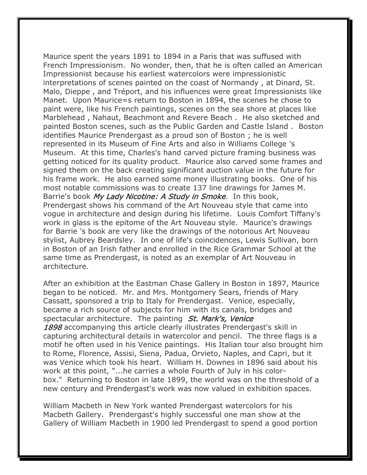Maurice spent the years 1891 to 1894 in a Paris that was suffused with French Impressionism. No wonder, then, that he is often called an American Impressionist because his earliest watercolors were impressionistic interpretations of scenes painted on the coast of Normandy , at Dinard, St. Malo, Dieppe , and Tréport, and his influences were great Impressionists like Manet. Upon Maurice=s return to Boston in 1894, the scenes he chose to paint were, like his French paintings, scenes on the sea shore at places like Marblehead , Nahaut, Beachmont and Revere Beach . He also sketched and painted Boston scenes, such as the Public Garden and Castle Island . Boston identifies Maurice Prendergast as a proud son of Boston ; he is well represented in its Museum of Fine Arts and also in Williams College 's Museum. At this time, Charles's hand carved picture framing business was getting noticed for its quality product. Maurice also carved some frames and signed them on the back creating significant auction value in the future for his frame work. He also earned some money illustrating books. One of his most notable commissions was to create 137 line drawings for James M. Barrie's book My Lady Nicotine: A Study in Smoke. In this book, Prendergast shows his command of the Art Nouveau style that came into vogue in architecture and design during his lifetime. Louis Comfort Tiffany's work in glass is the epitome of the Art Nouveau style. Maurice's drawings for Barrie 's book are very like the drawings of the notorious Art Nouveau stylist, Aubrey Beardsley. In one of life's coincidences, Lewis Sullivan, born in Boston of an Irish father and enrolled in the Rice Grammar School at the same time as Prendergast, is noted as an exemplar of Art Nouveau in architecture.

After an exhibition at the Eastman Chase Gallery in Boston in 1897, Maurice began to be noticed. Mr. and Mrs. Montgomery Sears, friends of Mary Cassatt, sponsored a trip to Italy for Prendergast. Venice, especially, became a rich source of subjects for him with its canals, bridges and spectacular architecture. The painting *St. Mark's, Venice* 1898 accompanying this article clearly illustrates Prendergast's skill in capturing architectural details in watercolor and pencil. The three flags is a motif he often used in his Venice paintings. His Italian tour also brought him to Rome, Florence, Assisi, Siena, Padua, Orvieto, Naples, and Capri, but it was Venice which took his heart. William H. Downes in 1896 said about his work at this point, "...he carries a whole Fourth of July in his colorbox." Returning to Boston in late 1899, the world was on the threshold of a new century and Prendergast's work was now valued in exhibition spaces.

William Macbeth in New York wanted Prendergast watercolors for his Macbeth Gallery. Prendergast's highly successful one man show at the Gallery of William Macbeth in 1900 led Prendergast to spend a good portion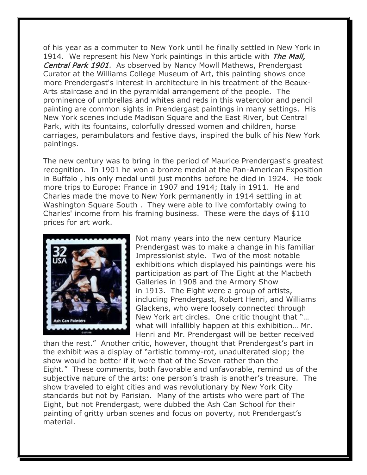of his year as a commuter to New York until he finally settled in New York in 1914. We represent his New York paintings in this article with *The Mall*, Central Park 1901. As observed by Nancy Mowll Mathews, Prendergast Curator at the Williams College Museum of Art, this painting shows once more Prendergast's interest in architecture in his treatment of the Beaux-Arts staircase and in the pyramidal arrangement of the people. The prominence of umbrellas and whites and reds in this watercolor and pencil painting are common sights in Prendergast paintings in many settings. His New York scenes include Madison Square and the East River, but Central Park, with its fountains, colorfully dressed women and children, horse carriages, perambulators and festive days, inspired the bulk of his New York paintings.

The new century was to bring in the period of Maurice Prendergast's greatest recognition. In 1901 he won a bronze medal at the Pan-American Exposition in Buffalo , his only medal until just months before he died in 1924. He took more trips to Europe: France in 1907 and 1914; Italy in 1911. He and Charles made the move to New York permanently in 1914 settling in at Washington Square South . They were able to live comfortably owing to Charles' income from his framing business. These were the days of \$110 prices for art work.



Not many years into the new century Maurice Prendergast was to make a change in his familiar Impressionist style. Two of the most notable exhibitions which displayed his paintings were his participation as part of The Eight at the Macbeth Galleries in 1908 and the Armory Show in 1913. The Eight were a group of artists, including Prendergast, Robert Henri, and Williams Glackens, who were loosely connected through New York art circles. One critic thought that "… what will infallibly happen at this exhibition… Mr. Henri and Mr. Prendergast will be better received

than the rest." Another critic, however, thought that Prendergast's part in the exhibit was a display of "artistic tommy-rot, unadulterated slop; the show would be better if it were that of the Seven rather than the Eight." These comments, both favorable and unfavorable, remind us of the subjective nature of the arts: one person's trash is another's treasure. The show traveled to eight cities and was revolutionary by New York City standards but not by Parisian. Many of the artists who were part of The Eight, but not Prendergast, were dubbed the Ash Can School for their painting of gritty urban scenes and focus on poverty, not Prendergast's material.